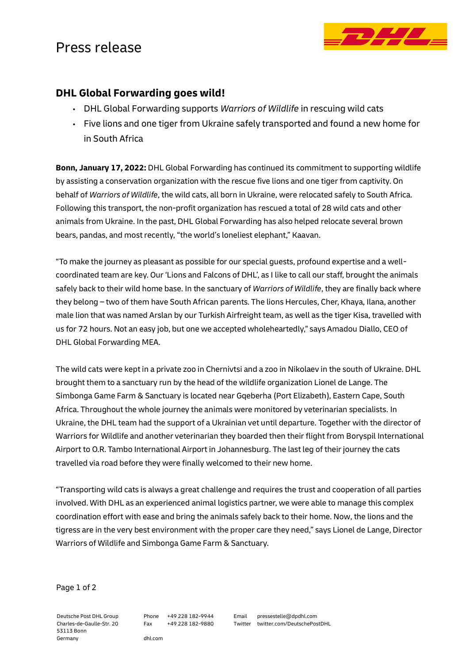## Press release



## **DHL Global Forwarding goes wild!**

- DHL Global Forwarding supports *Warriors of Wildlife* in rescuing wild cats
- Five lions and one tiger from Ukraine safely transported and found a new home for in South Africa

**Bonn, January 17, 2022:** DHL Global Forwarding has continued its commitment to supporting wildlife by assisting a conservation organization with the rescue five lions and one tiger from captivity. On behalf of *Warriors of Wildlife*, the wild cats, all born in Ukraine, were relocated safely to South Africa. Following this transport, the non-profit organization has rescued a total of 28 wild cats and other animals from Ukraine. In the past, DHL Global Forwarding has also helped relocate several brown bears, pandas, and most recently, "the world's loneliest elephant," Kaavan.

"To make the journey as pleasant as possible for our special guests, profound expertise and a wellcoordinated team are key. Our 'Lions and Falcons of DHL', as I like to call our staff, brought the animals safely back to their wild home base. In the sanctuary of *Warriors of Wildlife*, they are finally back where they belong – two of them have South African parents. The lions Hercules, Cher, Khaya, Ilana, another male lion that was named Arslan by our Turkish Airfreight team, as well as the tiger Kisa, travelled with us for 72 hours. Not an easy job, but one we accepted wholeheartedly," says Amadou Diallo, CEO of DHL Global Forwarding MEA.

The wild cats were kept in a private zoo in Chernivtsi and a zoo in Nikolaev in the south of Ukraine. DHL brought them to a sanctuary run by the head of the wildlife organization Lionel de Lange. The Simbonga Game Farm & Sanctuary is located near Gqeberha (Port Elizabeth), Eastern Cape, South Africa. Throughout the whole journey the animals were monitored by veterinarian specialists. In Ukraine, the DHL team had the support of a Ukrainian vet until departure. Together with the director of Warriors for Wildlife and another veterinarian they boarded then their flight from Boryspil International Airport to O.R. Tambo International Airport in Johannesburg. The last leg of their journey the cats travelled via road before they were finally welcomed to their new home.

"Transporting wild cats is always a great challenge and requires the trust and cooperation of all parties involved. With DHL as an experienced animal logistics partner, we were able to manage this complex coordination effort with ease and bring the animals safely back to their home. Now, the lions and the tigress are in the very best environment with the proper care they need," says Lionel de Lange, Director Warriors of Wildlife and Simbonga Game Farm & Sanctuary.

## Page 1 of 2

Deutsche Post DHL Group Charles-de-Gaulle-Str. 20 53113 Bonn Germany

Phone +49 228 182-9944 Fax +49 228 182-9880

dhl.com